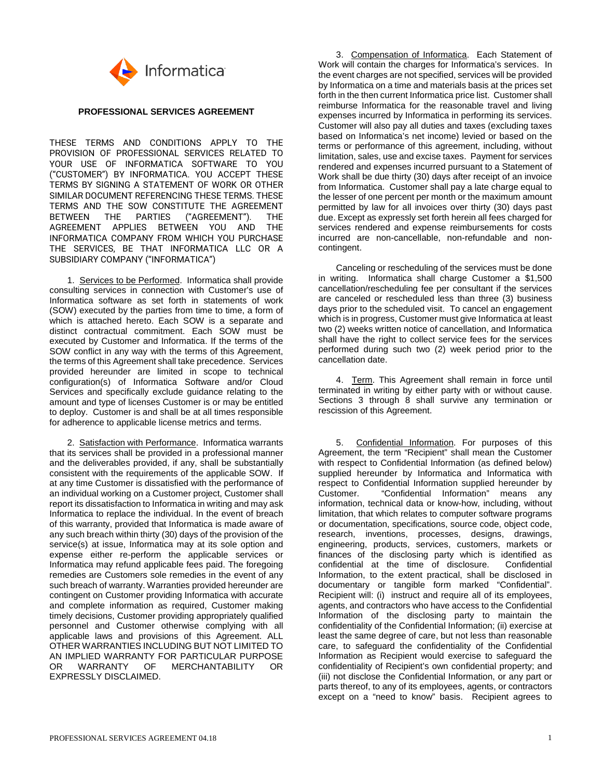

## **PROFESSIONAL SERVICES AGREEMENT**

THESE TERMS AND CONDITIONS APPLY TO THE PROVISION OF PROFESSIONAL SERVICES RELATED TO YOUR USE OF INFORMATICA SOFTWARE TO YOU ("CUSTOMER") BY INFORMATICA. YOU ACCEPT THESE TERMS BY SIGNING A STATEMENT OF WORK OR OTHER SIMILAR DOCUMENT REFERENCING THESE TERMS. THESE TERMS AND THE SOW CONSTITUTE THE AGREEMENT BETWEEN THE PARTIES ("AGREEMENT"). THE AGREEMENT APPLIES BETWEEN YOU AND THE INFORMATICA COMPANY FROM WHICH YOU PURCHASE THE SERVICES, BE THAT INFORMATICA LLC OR A SUBSIDIARY COMPANY ("INFORMATICA")

1. Services to be Performed. Informatica shall provide consulting services in connection with Customer's use of Informatica software as set forth in statements of work (SOW) executed by the parties from time to time, a form of which is attached hereto. Each SOW is a separate and distinct contractual commitment. Each SOW must be executed by Customer and Informatica. If the terms of the SOW conflict in any way with the terms of this Agreement, the terms of this Agreement shall take precedence. Services provided hereunder are limited in scope to technical configuration(s) of Informatica Software and/or Cloud Services and specifically exclude guidance relating to the amount and type of licenses Customer is or may be entitled to deploy. Customer is and shall be at all times responsible for adherence to applicable license metrics and terms.

2. Satisfaction with Performance. Informatica warrants that its services shall be provided in a professional manner and the deliverables provided, if any, shall be substantially consistent with the requirements of the applicable SOW. If at any time Customer is dissatisfied with the performance of an individual working on a Customer project, Customer shall report its dissatisfaction to Informatica in writing and may ask Informatica to replace the individual. In the event of breach of this warranty, provided that Informatica is made aware of any such breach within thirty (30) days of the provision of the service(s) at issue, Informatica may at its sole option and expense either re-perform the applicable services or Informatica may refund applicable fees paid. The foregoing remedies are Customers sole remedies in the event of any such breach of warranty. Warranties provided hereunder are contingent on Customer providing Informatica with accurate and complete information as required, Customer making timely decisions, Customer providing appropriately qualified personnel and Customer otherwise complying with all applicable laws and provisions of this Agreement. ALL OTHER WARRANTIES INCLUDING BUT NOT LIMITED TO AN IMPLIED WARRANTY FOR PARTICULAR PURPOSE OR WARRANTY OF MERCHANTABILITY OR EXPRESSLY DISCLAIMED.

3. Compensation of Informatica. Each Statement of Work will contain the charges for Informatica's services. In the event charges are not specified, services will be provided by Informatica on a time and materials basis at the prices set forth in the then current Informatica price list. Customer shall reimburse Informatica for the reasonable travel and living expenses incurred by Informatica in performing its services. Customer will also pay all duties and taxes (excluding taxes based on Informatica's net income) levied or based on the terms or performance of this agreement, including, without limitation, sales, use and excise taxes. Payment for services rendered and expenses incurred pursuant to a Statement of Work shall be due thirty (30) days after receipt of an invoice from Informatica. Customer shall pay a late charge equal to the lesser of one percent per month or the maximum amount permitted by law for all invoices over thirty (30) days past due. Except as expressly set forth herein all fees charged for services rendered and expense reimbursements for costs incurred are non-cancellable, non-refundable and noncontingent.

Canceling or rescheduling of the services must be done in writing. Informatica shall charge Customer a \$1,500 cancellation/rescheduling fee per consultant if the services are canceled or rescheduled less than three (3) business days prior to the scheduled visit. To cancel an engagement which is in progress, Customer must give Informatica at least two (2) weeks written notice of cancellation, and Informatica shall have the right to collect service fees for the services performed during such two (2) week period prior to the cancellation date.

4. Term. This Agreement shall remain in force until terminated in writing by either party with or without cause. Sections 3 through 8 shall survive any termination or rescission of this Agreement.

5. Confidential Information. For purposes of this Agreement, the term "Recipient" shall mean the Customer with respect to Confidential Information (as defined below) supplied hereunder by Informatica and Informatica with respect to Confidential Information supplied hereunder by "Confidential Information" information, technical data or know-how, including, without limitation, that which relates to computer software programs or documentation, specifications, source code, object code, research, inventions, processes, designs, drawings, engineering, products, services, customers, markets or finances of the disclosing party which is identified as confidential at the time of disclosure. Confidential Information, to the extent practical, shall be disclosed in documentary or tangible form marked "Confidential". Recipient will: (i) instruct and require all of its employees, agents, and contractors who have access to the Confidential Information of the disclosing party to maintain the confidentiality of the Confidential Information; (ii) exercise at least the same degree of care, but not less than reasonable care, to safeguard the confidentiality of the Confidential Information as Recipient would exercise to safeguard the confidentiality of Recipient's own confidential property; and (iii) not disclose the Confidential Information, or any part or parts thereof, to any of its employees, agents, or contractors except on a "need to know" basis. Recipient agrees to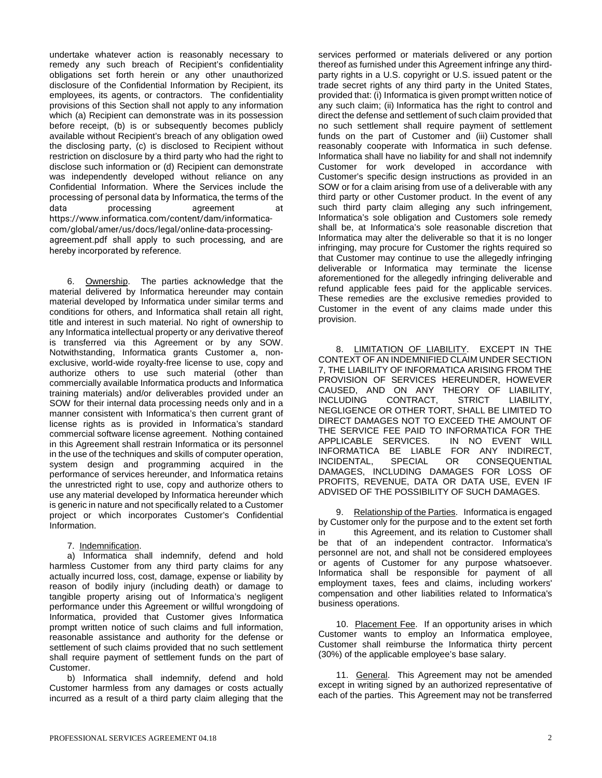undertake whatever action is reasonably necessary to remedy any such breach of Recipient's confidentiality obligations set forth herein or any other unauthorized disclosure of the Confidential Information by Recipient, its employees, its agents, or contractors. The confidentiality provisions of this Section shall not apply to any information which (a) Recipient can demonstrate was in its possession before receipt, (b) is or subsequently becomes publicly available without Recipient's breach of any obligation owed the disclosing party, (c) is disclosed to Recipient without restriction on disclosure by a third party who had the right to disclose such information or (d) Recipient can demonstrate was independently developed without reliance on any Confidential Information. Where the Services include the processing of personal data by Informatica, the terms of the data **processing** agreement at https://www.informatica.com/content/dam/informaticacom/global/amer/us/docs/legal/online-data-processingagreement.pdf shall apply to such processing, and are hereby incorporated by reference.

6. Ownership. The parties acknowledge that the material delivered by Informatica hereunder may contain material developed by Informatica under similar terms and conditions for others, and Informatica shall retain all right, title and interest in such material. No right of ownership to any Informatica intellectual property or any derivative thereof is transferred via this Agreement or by any SOW. Notwithstanding, Informatica grants Customer a, nonexclusive, world-wide royalty-free license to use, copy and authorize others to use such material (other than commercially available Informatica products and Informatica training materials) and/or deliverables provided under an SOW for their internal data processing needs only and in a manner consistent with Informatica's then current grant of license rights as is provided in Informatica's standard commercial software license agreement. Nothing contained in this Agreement shall restrain Informatica or its personnel in the use of the techniques and skills of computer operation, system design and programming acquired in the performance of services hereunder, and Informatica retains the unrestricted right to use, copy and authorize others to use any material developed by Informatica hereunder which is generic in nature and not specifically related to a Customer project or which incorporates Customer's Confidential Information.

7. Indemnification.

a) Informatica shall indemnify, defend and hold harmless Customer from any third party claims for any actually incurred loss, cost, damage, expense or liability by reason of bodily injury (including death) or damage to tangible property arising out of Informatica's negligent performance under this Agreement or willful wrongdoing of Informatica, provided that Customer gives Informatica prompt written notice of such claims and full information, reasonable assistance and authority for the defense or settlement of such claims provided that no such settlement shall require payment of settlement funds on the part of Customer.

b) Informatica shall indemnify, defend and hold Customer harmless from any damages or costs actually incurred as a result of a third party claim alleging that the

services performed or materials delivered or any portion thereof as furnished under this Agreement infringe any thirdparty rights in a U.S. copyright or U.S. issued patent or the trade secret rights of any third party in the United States, provided that: (i) Informatica is given prompt written notice of any such claim; (ii) Informatica has the right to control and direct the defense and settlement of such claim provided that no such settlement shall require payment of settlement funds on the part of Customer and (iii) Customer shall reasonably cooperate with Informatica in such defense. Informatica shall have no liability for and shall not indemnify Customer for work developed in accordance with Customer's specific design instructions as provided in an SOW or for a claim arising from use of a deliverable with any third party or other Customer product. In the event of any such third party claim alleging any such infringement, Informatica's sole obligation and Customers sole remedy shall be, at Informatica's sole reasonable discretion that Informatica may alter the deliverable so that it is no longer infringing, may procure for Customer the rights required so that Customer may continue to use the allegedly infringing deliverable or Informatica may terminate the license aforementioned for the allegedly infringing deliverable and refund applicable fees paid for the applicable services. These remedies are the exclusive remedies provided to Customer in the event of any claims made under this provision.

8. LIMITATION OF LIABILITY. EXCEPT IN THE CONTEXT OF AN INDEMNIFIED CLAIM UNDER SECTION 7, THE LIABILITY OF INFORMATICA ARISING FROM THE PROVISION OF SERVICES HEREUNDER, HOWEVER CAUSED, AND ON ANY THEORY OF LIABILITY,<br>INCLUDING CONTRACT, STRICT LIABILITY, CONTRACT, STRICT NEGLIGENCE OR OTHER TORT, SHALL BE LIMITED TO DIRECT DAMAGES NOT TO EXCEED THE AMOUNT OF THE SERVICE FEE PAID TO INFORMATICA FOR THE APPLICABLE SERVICES. IN NO EVENT WILL INFORMATICA BE LIABLE FOR ANY INDIRECT, INCIDENTAL, SPECIAL OR CONSEQUENTIAL DAMAGES, INCLUDING DAMAGES FOR LOSS OF PROFITS, REVENUE, DATA OR DATA USE, EVEN IF ADVISED OF THE POSSIBILITY OF SUCH DAMAGES.

9. Relationship of the Parties. Informatica is engaged by Customer only for the purpose and to the extent set forth in this Agreement, and its relation to Customer shall be that of an independent contractor. Informatica's personnel are not, and shall not be considered employees or agents of Customer for any purpose whatsoever. Informatica shall be responsible for payment of all employment taxes, fees and claims, including workers' compensation and other liabilities related to Informatica's business operations.

10. Placement Fee. If an opportunity arises in which Customer wants to employ an Informatica employee, Customer shall reimburse the Informatica thirty percent (30%) of the applicable employee's base salary.

11. General. This Agreement may not be amended except in writing signed by an authorized representative of each of the parties. This Agreement may not be transferred